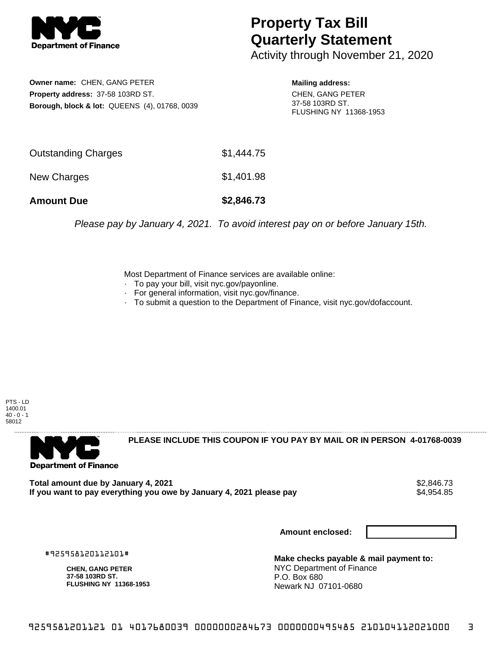

## **Property Tax Bill Quarterly Statement**

Activity through November 21, 2020

**Owner name:** CHEN, GANG PETER **Property address:** 37-58 103RD ST. **Borough, block & lot:** QUEENS (4), 01768, 0039 **Mailing address:**

CHEN, GANG PETER 37-58 103RD ST. FLUSHING NY 11368-1953

| <b>Amount Due</b>          | \$2,846.73 |
|----------------------------|------------|
| New Charges                | \$1,401.98 |
| <b>Outstanding Charges</b> | \$1,444.75 |

Please pay by January 4, 2021. To avoid interest pay on or before January 15th.

Most Department of Finance services are available online:

- · To pay your bill, visit nyc.gov/payonline.
- For general information, visit nyc.gov/finance.
- · To submit a question to the Department of Finance, visit nyc.gov/dofaccount.

PTS - LD 1400.01  $40 - 0 - 1$ 58012



**PLEASE INCLUDE THIS COUPON IF YOU PAY BY MAIL OR IN PERSON 4-01768-0039** 

Total amount due by January 4, 2021<br>If you want to pay everything you owe by January 4, 2021 please pay **ship and the set of the set of the set of** If you want to pay everything you owe by January 4, 2021 please pay

**Amount enclosed:**

#925958120112101#

**CHEN, GANG PETER 37-58 103RD ST. FLUSHING NY 11368-1953**

**Make checks payable & mail payment to:** NYC Department of Finance P.O. Box 680 Newark NJ 07101-0680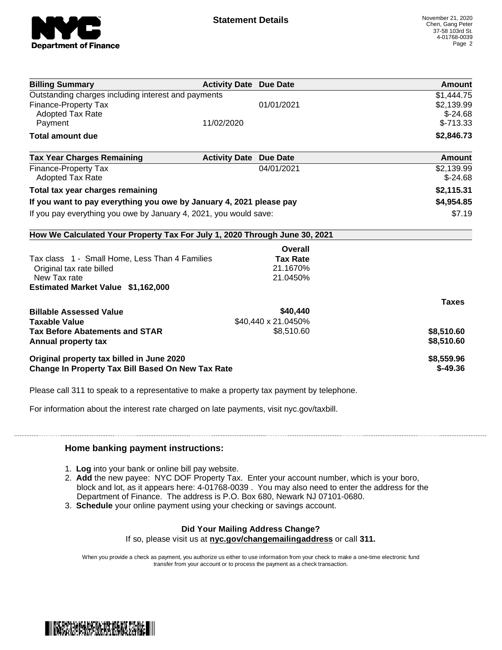

| <b>Billing Summary</b>                                                     | <b>Activity Date Due Date</b>           | Amount       |
|----------------------------------------------------------------------------|-----------------------------------------|--------------|
| Outstanding charges including interest and payments                        |                                         | \$1,444.75   |
| <b>Finance-Property Tax</b>                                                | 01/01/2021                              | \$2,139.99   |
| <b>Adopted Tax Rate</b>                                                    |                                         | $$-24.68$    |
| Payment                                                                    | 11/02/2020                              | $$-713.33$   |
| <b>Total amount due</b>                                                    |                                         | \$2,846.73   |
| <b>Tax Year Charges Remaining</b>                                          | <b>Activity Date</b><br><b>Due Date</b> | Amount       |
| <b>Finance-Property Tax</b>                                                | 04/01/2021                              | \$2,139.99   |
| <b>Adopted Tax Rate</b>                                                    |                                         | $$-24.68$    |
| Total tax year charges remaining                                           |                                         | \$2,115.31   |
| If you want to pay everything you owe by January 4, 2021 please pay        |                                         | \$4,954.85   |
| If you pay everything you owe by January 4, 2021, you would save:          |                                         | \$7.19       |
| How We Calculated Your Property Tax For July 1, 2020 Through June 30, 2021 |                                         |              |
|                                                                            | Overall                                 |              |
| Tax class 1 - Small Home, Less Than 4 Families                             | <b>Tax Rate</b>                         |              |
| Original tax rate billed                                                   | 21.1670%                                |              |
| New Tax rate                                                               | 21.0450%                                |              |
| <b>Estimated Market Value \$1,162,000</b>                                  |                                         |              |
|                                                                            |                                         | <b>Taxes</b> |
| <b>Billable Assessed Value</b>                                             | \$40,440                                |              |
| <b>Taxable Value</b>                                                       | \$40,440 x 21.0450%                     |              |
| <b>Tax Before Abatements and STAR</b>                                      | \$8,510.60                              | \$8,510.60   |
| Annual property tax                                                        |                                         | \$8,510.60   |
|                                                                            |                                         | \$8,559.96   |
| Original property tax billed in June 2020                                  |                                         |              |

Please call 311 to speak to a representative to make a property tax payment by telephone.

For information about the interest rate charged on late payments, visit nyc.gov/taxbill.

## **Home banking payment instructions:**

- 1. **Log** into your bank or online bill pay website.
- 2. **Add** the new payee: NYC DOF Property Tax. Enter your account number, which is your boro, block and lot, as it appears here: 4-01768-0039 . You may also need to enter the address for the Department of Finance. The address is P.O. Box 680, Newark NJ 07101-0680.
- 3. **Schedule** your online payment using your checking or savings account.

## **Did Your Mailing Address Change?** If so, please visit us at **nyc.gov/changemailingaddress** or call **311.**

When you provide a check as payment, you authorize us either to use information from your check to make a one-time electronic fund transfer from your account or to process the payment as a check transaction.